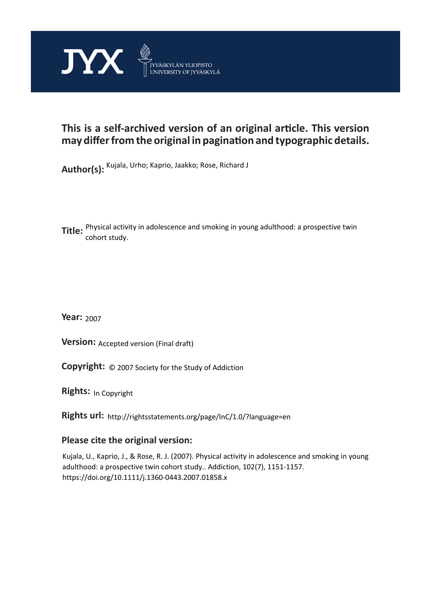

## **This is a self-archived version of an original article. This version may differ from the original in pagination and typographic details.**

**Author(s):**  Kujala, Urho; Kaprio, Jaakko; Rose, Richard J

**Title:**  Physical activity in adolescence and smoking in young adulthood: a prospective twin cohort study.

**Year:**  2007

**Version: Accepted version (Final draft)** 

**Version:** Accepted version (Final draft)<br>**Copyright:** © 2007 Society for the Study of Addiction

**Rights:** In Copyright

**Rights url:**  http://rightsstatements.org/page/InC/1.0/?language=en

### **Please cite the original version:**

Kujala, U., Kaprio, J., & Rose, R. J. (2007). Physical activity in adolescence and smoking in young adulthood: a prospective twin cohort study.. Addiction, 102(7), 1151-1157. https://doi.org/10.1111/j.1360-0443.2007.01858.x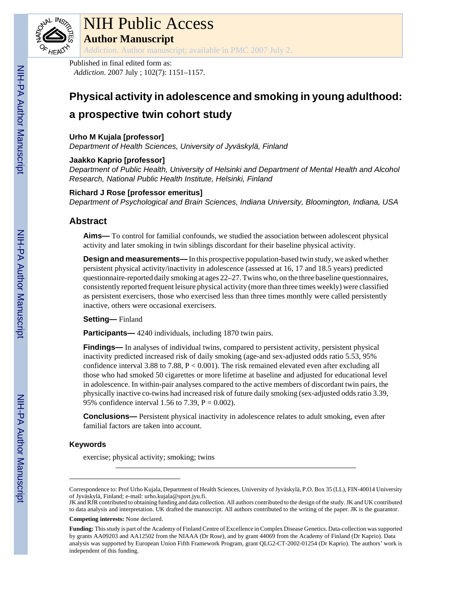

# NIH Public Access

**Author Manuscript**

*Addiction*. Author manuscript; available in PMC 2007 July 2.

Published in final edited form as: *Addiction*. 2007 July ; 102(7): 1151–1157.

# **Physical activity in adolescence and smoking in young adulthood: a prospective twin cohort study**

### **Urho M Kujala [professor]**

*Department of Health Sciences, University of Jyväskylä, Finland*

### **Jaakko Kaprio [professor]**

*Department of Public Health, University of Helsinki and Department of Mental Health and Alcohol Research, National Public Health Institute, Helsinki, Finland*

### **Richard J Rose [professor emeritus]**

*Department of Psychological and Brain Sciences, Indiana University, Bloomington, Indiana, USA*

### **Abstract**

**Aims—** To control for familial confounds, we studied the association between adolescent physical activity and later smoking in twin siblings discordant for their baseline physical activity.

**Design and measurements—** In this prospective population-based twin study, we asked whether persistent physical activity/inactivity in adolescence (assessed at 16, 17 and 18.5 years) predicted questionnaire-reported daily smoking at ages 22–27. Twins who, on the three baseline questionnaires, consistently reported frequent leisure physical activity (more than three times weekly) were classified as persistent exercisers, those who exercised less than three times monthly were called persistently inactive, others were occasional exercisers.

### **Setting—** Finland

**Participants—** 4240 individuals, including 1870 twin pairs.

**Findings—** In analyses of individual twins, compared to persistent activity, persistent physical inactivity predicted increased risk of daily smoking (age-and sex-adjusted odds ratio 5.53, 95% confidence interval 3.88 to 7.88,  $P < 0.001$ ). The risk remained elevated even after excluding all those who had smoked 50 cigarettes or more lifetime at baseline and adjusted for educational level in adolescence. In within-pair analyses compared to the active members of discordant twin pairs, the physically inactive co-twins had increased risk of future daily smoking (sex-adjusted odds ratio 3.39, 95% confidence interval 1.56 to 7.39,  $P = 0.002$ ).

**Conclusions—** Persistent physical inactivity in adolescence relates to adult smoking, even after familial factors are taken into account.

### **Keywords**

exercise; physical activity; smoking; twins

Correspondence to: Prof Urho Kujala, Department of Health Sciences, University of Jyväskylä, P.O. Box 35 (LL), FIN-40014 University of Jyväskylä, Finland; e-mail: urho.kujala@sport.jyu.fi.

JK and RJR contributed to obtaining funding and data collection. All authors contributed to the design of the study. JK and UK contributed to data analysis and interpretation. UK drafted the manuscript. All authors contributed to the writing of the paper. JK is the guarantor.

**Competing interests:** None declared.

**Funding:** This study is part of the Academy of Finland Centre of Excellence in Complex Disease Genetics. Data-collection was supported by grants AA09203 and AA12502 from the NIAAA (Dr Rose), and by grant 44069 from the Academy of Finland (Dr Kaprio). Data analysis was supported by European Union Fifth Framework Program, grant QLG2-CT-2002-01254 (Dr Kaprio). The authors' work is independent of this funding.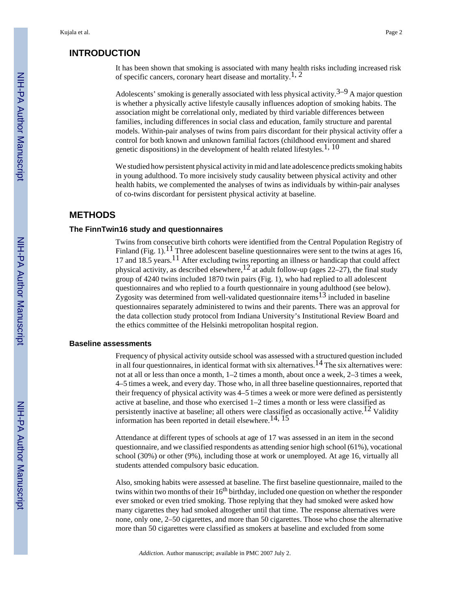### **INTRODUCTION**

It has been shown that smoking is associated with many health risks including increased risk of specific cancers, coronary heart disease and mortality.<sup>1, 2</sup>

Adolescents' smoking is generally associated with less physical activity. $3-9$  A major question is whether a physically active lifestyle causally influences adoption of smoking habits. The association might be correlational only, mediated by third variable differences between families, including differences in social class and education, family structure and parental models. Within-pair analyses of twins from pairs discordant for their physical activity offer a control for both known and unknown familial factors (childhood environment and shared genetic dispositions) in the development of health related lifestyles.<sup>1, 10</sup>

We studied how persistent physical activity in mid and late adolescence predicts smoking habits in young adulthood. To more incisively study causality between physical activity and other health habits, we complemented the analyses of twins as individuals by within-pair analyses of co-twins discordant for persistent physical activity at baseline.

### **METHODS**

### **The FinnTwin16 study and questionnaires**

Twins from consecutive birth cohorts were identified from the Central Population Registry of Finland (Fig. 1).<sup>11</sup> Three adolescent baseline questionnaires were sent to the twins at ages 16, 17 and 18.5 years.<sup>11</sup> After excluding twins reporting an illness or handicap that could affect physical activity, as described elsewhere,<sup>12</sup> at adult follow-up (ages  $22-27$ ), the final study group of 4240 twins included 1870 twin pairs (Fig. 1), who had replied to all adolescent questionnaires and who replied to a fourth questionnaire in young adulthood (see below). Zygosity was determined from well-validated questionnaire items<sup>13</sup> included in baseline questionnaires separately administered to twins and their parents. There was an approval for the data collection study protocol from Indiana University's Institutional Review Board and the ethics committee of the Helsinki metropolitan hospital region.

### **Baseline assessments**

Frequency of physical activity outside school was assessed with a structured question included in all four questionnaires, in identical format with six alternatives.<sup>14</sup> The six alternatives were: not at all or less than once a month, 1–2 times a month, about once a week, 2–3 times a week, 4–5 times a week, and every day. Those who, in all three baseline questionnaires, reported that their frequency of physical activity was 4–5 times a week or more were defined as persistently active at baseline, and those who exercised 1–2 times a month or less were classified as persistently inactive at baseline; all others were classified as occasionally active.<sup>12</sup> Validity information has been reported in detail elsewhere.<sup>14, 15</sup>

Attendance at different types of schools at age of 17 was assessed in an item in the second questionnaire, and we classified respondents as attending senior high school (61%), vocational school (30%) or other (9%), including those at work or unemployed. At age 16, virtually all students attended compulsory basic education.

Also, smoking habits were assessed at baseline. The first baseline questionnaire, mailed to the twins within two months of their 16<sup>th</sup> birthday, included one question on whether the responder ever smoked or even tried smoking. Those replying that they had smoked were asked how many cigarettes they had smoked altogether until that time. The response alternatives were none, only one, 2–50 cigarettes, and more than 50 cigarettes. Those who chose the alternative more than 50 cigarettes were classified as smokers at baseline and excluded from some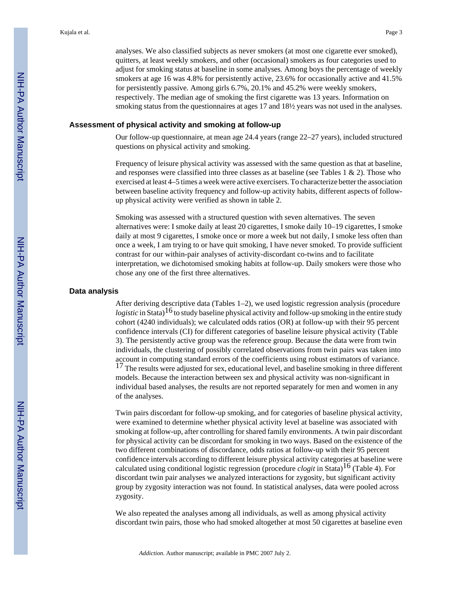analyses. We also classified subjects as never smokers (at most one cigarette ever smoked), quitters, at least weekly smokers, and other (occasional) smokers as four categories used to adjust for smoking status at baseline in some analyses. Among boys the percentage of weekly smokers at age 16 was 4.8% for persistently active, 23.6% for occasionally active and 41.5% for persistently passive. Among girls 6.7%, 20.1% and 45.2% were weekly smokers, respectively. The median age of smoking the first cigarette was 13 years. Information on smoking status from the questionnaires at ages 17 and 18½ years was not used in the analyses.

### **Assessment of physical activity and smoking at follow-up**

Our follow-up questionnaire, at mean age 24.4 years (range 22–27 years), included structured questions on physical activity and smoking.

Frequency of leisure physical activity was assessed with the same question as that at baseline, and responses were classified into three classes as at baseline (see Tables 1  $\&$  2). Those who exercised at least 4–5 times a week were active exercisers. To characterize better the association between baseline activity frequency and follow-up activity habits, different aspects of followup physical activity were verified as shown in table 2.

Smoking was assessed with a structured question with seven alternatives. The seven alternatives were: I smoke daily at least 20 cigarettes, I smoke daily 10–19 cigarettes, I smoke daily at most 9 cigarettes, I smoke once or more a week but not daily, I smoke less often than once a week, I am trying to or have quit smoking, I have never smoked. To provide sufficient contrast for our within-pair analyses of activity-discordant co-twins and to facilitate interpretation, we dichotomised smoking habits at follow-up. Daily smokers were those who chose any one of the first three alternatives.

### **Data analysis**

After deriving descriptive data (Tables 1–2), we used logistic regression analysis (procedure *logistic* in Stata)<sup>16</sup> to study baseline physical activity and follow-up smoking in the entire study cohort (4240 individuals); we calculated odds ratios (OR) at follow-up with their 95 percent confidence intervals (CI) for different categories of baseline leisure physical activity (Table 3). The persistently active group was the reference group. Because the data were from twin individuals, the clustering of possibly correlated observations from twin pairs was taken into account in computing standard errors of the coefficients using robust estimators of variance. <sup>17</sup> The results were adjusted for sex, educational level, and baseline smoking in three different models. Because the interaction between sex and physical activity was non-significant in individual based analyses, the results are not reported separately for men and women in any of the analyses.

Twin pairs discordant for follow-up smoking, and for categories of baseline physical activity, were examined to determine whether physical activity level at baseline was associated with smoking at follow-up, after controlling for shared family environments. A twin pair discordant for physical activity can be discordant for smoking in two ways. Based on the existence of the two different combinations of discordance, odds ratios at follow-up with their 95 percent confidence intervals according to different leisure physical activity categories at baseline were calculated using conditional logistic regression (procedure *clogit* in Stata)16 (Table 4). For discordant twin pair analyses we analyzed interactions for zygosity, but significant activity group by zygosity interaction was not found. In statistical analyses, data were pooled across zygosity.

We also repeated the analyses among all individuals, as well as among physical activity discordant twin pairs, those who had smoked altogether at most 50 cigarettes at baseline even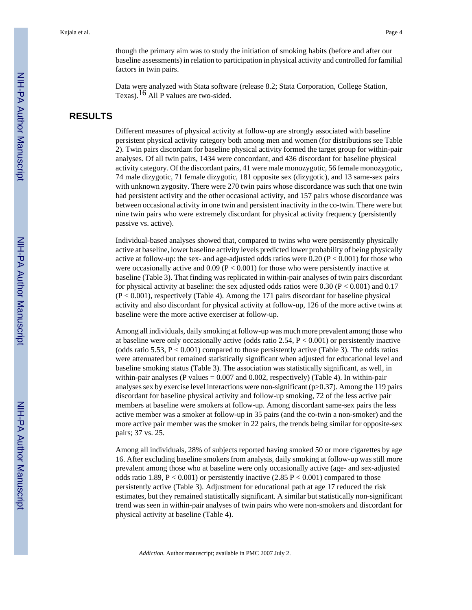though the primary aim was to study the initiation of smoking habits (before and after our baseline assessments) in relation to participation in physical activity and controlled for familial factors in twin pairs.

Data were analyzed with Stata software (release 8.2; Stata Corporation, College Station, Texas).16 All P values are two-sided.

### **RESULTS**

Different measures of physical activity at follow-up are strongly associated with baseline persistent physical activity category both among men and women (for distributions see Table 2). Twin pairs discordant for baseline physical activity formed the target group for within-pair analyses. Of all twin pairs, 1434 were concordant, and 436 discordant for baseline physical activity category. Of the discordant pairs, 41 were male monozygotic, 56 female monozygotic, 74 male dizygotic, 71 female dizygotic, 181 opposite sex (dizygotic), and 13 same-sex pairs with unknown zygosity. There were 270 twin pairs whose discordance was such that one twin had persistent activity and the other occasional activity, and 157 pairs whose discordance was between occasional activity in one twin and persistent inactivity in the co-twin. There were but nine twin pairs who were extremely discordant for physical activity frequency (persistently passive vs. active).

Individual-based analyses showed that, compared to twins who were persistently physically active at baseline, lower baseline activity levels predicted lower probability of being physically active at follow-up: the sex- and age-adjusted odds ratios were  $0.20 (P < 0.001)$  for those who were occasionally active and  $0.09$  (P < 0.001) for those who were persistently inactive at baseline (Table 3). That finding was replicated in within-pair analyses of twin pairs discordant for physical activity at baseline: the sex adjusted odds ratios were  $0.30$  (P < 0.001) and 0.17 (P < 0.001), respectively (Table 4). Among the 171 pairs discordant for baseline physical activity and also discordant for physical activity at follow-up, 126 of the more active twins at baseline were the more active exerciser at follow-up.

Among all individuals, daily smoking at follow-up was much more prevalent among those who at baseline were only occasionally active (odds ratio 2.54,  $P < 0.001$ ) or persistently inactive (odds ratio 5.53,  $P < 0.001$ ) compared to those persistently active (Table 3). The odds ratios were attenuated but remained statistically significant when adjusted for educational level and baseline smoking status (Table 3). The association was statistically significant, as well, in within-pair analyses (P values  $= 0.007$  and 0.002, respectively) (Table 4). In within-pair analyses sex by exercise level interactions were non-significant ( $p>0.37$ ). Among the 119 pairs discordant for baseline physical activity and follow-up smoking, 72 of the less active pair members at baseline were smokers at follow-up. Among discordant same-sex pairs the less active member was a smoker at follow-up in 35 pairs (and the co-twin a non-smoker) and the more active pair member was the smoker in 22 pairs, the trends being similar for opposite-sex pairs; 37 vs. 25.

Among all individuals, 28% of subjects reported having smoked 50 or more cigarettes by age 16. After excluding baseline smokers from analysis, daily smoking at follow-up was still more prevalent among those who at baseline were only occasionally active (age- and sex-adjusted odds ratio 1.89, P < 0.001) or persistently inactive (2.85 P < 0.001) compared to those persistently active (Table 3). Adjustment for educational path at age 17 reduced the risk estimates, but they remained statistically significant. A similar but statistically non-significant trend was seen in within-pair analyses of twin pairs who were non-smokers and discordant for physical activity at baseline (Table 4).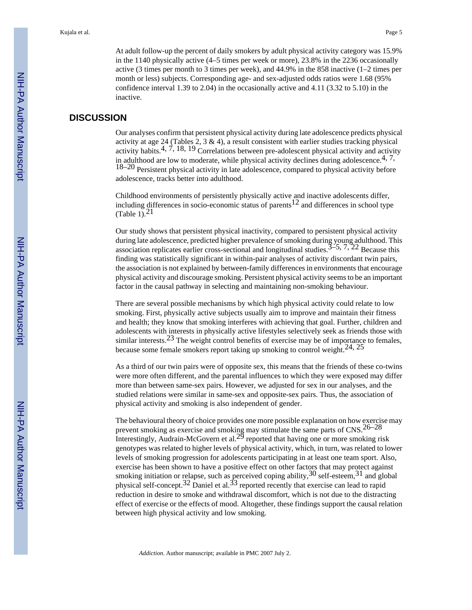At adult follow-up the percent of daily smokers by adult physical activity category was 15.9% in the 1140 physically active (4–5 times per week or more), 23.8% in the 2236 occasionally active (3 times per month to 3 times per week), and 44.9% in the 858 inactive (1–2 times per month or less) subjects. Corresponding age- and sex-adjusted odds ratios were 1.68 (95% confidence interval 1.39 to 2.04) in the occasionally active and 4.11 (3.32 to 5.10) in the inactive.

### **DISCUSSION**

Our analyses confirm that persistent physical activity during late adolescence predicts physical activity at age 24 (Tables 2, 3  $\&$  4), a result consistent with earlier studies tracking physical activity habits.<sup>4, 7,</sup> 18, 19 Correlations between pre-adolescent physical activity and activity and activity in adulthood are low to moderate, while physical activity declines during adolescence.<sup>4, 7,</sup> 18–20 Persistent physical activity in late adolescence, compared to physical activity before adolescence, tracks better into adulthood.

Childhood environments of persistently physically active and inactive adolescents differ, including differences in socio-economic status of parents<sup>12</sup> and differences in school type (Table 1). $^{21}$ 

Our study shows that persistent physical inactivity, compared to persistent physical activity during late adolescence, predicted higher prevalence of smoking during young adulthood. This association replicates earlier cross-sectional and longitudinal studies.  $3\overline{-5}$ ,  $7$ ,  $22$  Because this finding was statistically significant in within-pair analyses of activity discordant twin pairs, the association is not explained by between-family differences in environments that encourage physical activity and discourage smoking. Persistent physical activity seems to be an important factor in the causal pathway in selecting and maintaining non-smoking behaviour.

There are several possible mechanisms by which high physical activity could relate to low smoking. First, physically active subjects usually aim to improve and maintain their fitness and health; they know that smoking interferes with achieving that goal. Further, children and adolescents with interests in physically active lifestyles selectively seek as friends those with similar interests.<sup>23</sup> The weight control benefits of exercise may be of importance to females, because some female smokers report taking up smoking to control weight.<sup>24, 25</sup>

As a third of our twin pairs were of opposite sex, this means that the friends of these co-twins were more often different, and the parental influences to which they were exposed may differ more than between same-sex pairs. However, we adjusted for sex in our analyses, and the studied relations were similar in same-sex and opposite-sex pairs. Thus, the association of physical activity and smoking is also independent of gender.

The behavioural theory of choice provides one more possible explanation on how exercise may prevent smoking as exercise and smoking may stimulate the same parts of  $\text{CNS}.^{26-28}$ Interestingly, Audrain-McGovern et al.<sup>29</sup> reported that having one or more smoking risk genotypes was related to higher levels of physical activity, which, in turn, was related to lower levels of smoking progression for adolescents participating in at least one team sport. Also, exercise has been shown to have a positive effect on other factors that may protect against smoking initiation or relapse, such as perceived coping ability,  $30$  self-esteem,  $31$  and global physical self-concept.<sup>32</sup> Daniel et al.<sup>33</sup> reported recently that exercise can lead to rapid reduction in desire to smoke and withdrawal discomfort, which is not due to the distracting effect of exercise or the effects of mood. Altogether, these findings support the causal relation between high physical activity and low smoking.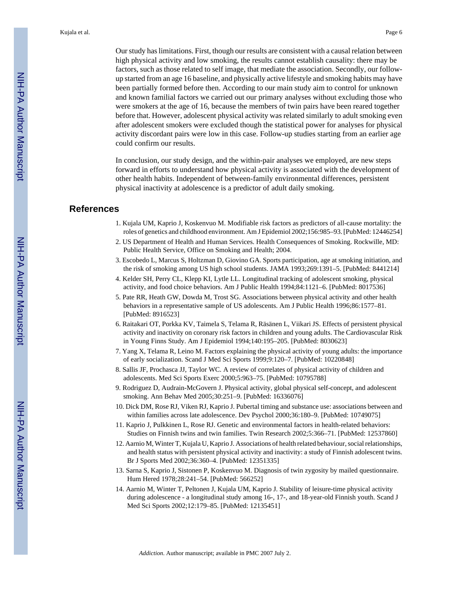Our study has limitations. First, though our results are consistent with a causal relation between high physical activity and low smoking, the results cannot establish causality: there may be factors, such as those related to self image, that mediate the association. Secondly, our followup started from an age 16 baseline, and physically active lifestyle and smoking habits may have been partially formed before then. According to our main study aim to control for unknown and known familial factors we carried out our primary analyses without excluding those who were smokers at the age of 16, because the members of twin pairs have been reared together before that. However, adolescent physical activity was related similarly to adult smoking even after adolescent smokers were excluded though the statistical power for analyses for physical activity discordant pairs were low in this case. Follow-up studies starting from an earlier age could confirm our results.

In conclusion, our study design, and the within-pair analyses we employed, are new steps forward in efforts to understand how physical activity is associated with the development of other health habits. Independent of between-family environmental differences, persistent physical inactivity at adolescence is a predictor of adult daily smoking.

### **References**

- 1. Kujala UM, Kaprio J, Koskenvuo M. Modifiable risk factors as predictors of all-cause mortality: the roles of genetics and childhood environment. Am J Epidemiol 2002;156:985–93. [PubMed: 12446254]
- 2. US Department of Health and Human Services. Health Consequences of Smoking. Rockwille, MD: Public Health Service, Office on Smoking and Health; 2004.
- 3. Escobedo L, Marcus S, Holtzman D, Giovino GA. Sports participation, age at smoking initiation, and the risk of smoking among US high school students. JAMA 1993;269:1391–5. [PubMed: 8441214]
- 4. Kelder SH, Perry CL, Klepp KI, Lytle LL. Longitudinal tracking of adolescent smoking, physical activity, and food choice behaviors. Am J Public Health 1994;84:1121–6. [PubMed: 8017536]
- 5. Pate RR, Heath GW, Dowda M, Trost SG. Associations between physical activity and other health behaviors in a representative sample of US adolescents. Am J Public Health 1996;86:1577–81. [PubMed: 8916523]
- 6. Raitakari OT, Porkka KV, Taimela S, Telama R, Räsänen L, Viikari JS. Effects of persistent physical activity and inactivity on coronary risk factors in children and young adults. The Cardiovascular Risk in Young Finns Study. Am J Epidemiol 1994;140:195–205. [PubMed: 8030623]
- 7. Yang X, Telama R, Leino M. Factors explaining the physical activity of young adults: the importance of early socialization. Scand J Med Sci Sports 1999;9:120–7. [PubMed: 10220848]
- 8. Sallis JF, Prochasca JJ, Taylor WC. A review of correlates of physical activity of children and adolescents. Med Sci Sports Exerc 2000;5:963–75. [PubMed: 10795788]
- 9. Rodriguez D, Audrain-McGovern J. Physical activity, global physical self-concept, and adolescent smoking. Ann Behav Med 2005;30:251–9. [PubMed: 16336076]
- 10. Dick DM, Rose RJ, Viken RJ, Kaprio J. Pubertal timing and substance use: associations between and within families across late adolescence. Dev Psychol 2000;36:180–9. [PubMed: 10749075]
- 11. Kaprio J, Pulkkinen L, Rose RJ. Genetic and environmental factors in health-related behaviors: Studies on Finnish twins and twin families. Twin Research 2002;5:366–71. [PubMed: 12537860]
- 12. Aarnio M, Winter T, Kujala U, Kaprio J. Associations of health related behaviour, social relationships, and health status with persistent physical activity and inactivity: a study of Finnish adolescent twins. Br J Sports Med 2002;36:360–4. [PubMed: 12351335]
- 13. Sarna S, Kaprio J, Sistonen P, Koskenvuo M. Diagnosis of twin zygosity by mailed questionnaire. Hum Hered 1978;28:241–54. [PubMed: 566252]
- 14. Aarnio M, Winter T, Peltonen J, Kujala UM, Kaprio J. Stability of leisure-time physical activity during adolescence - a longitudinal study among 16-, 17-, and 18-year-old Finnish youth. Scand J Med Sci Sports 2002;12:179–85. [PubMed: 12135451]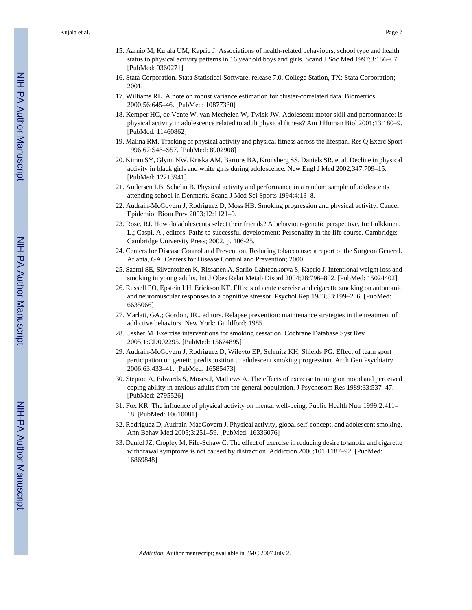- 15. Aarnio M, Kujala UM, Kaprio J. Associations of health-related behaviours, school type and health status to physical activity patterns in 16 year old boys and girls. Scand J Soc Med 1997;3:156–67. [PubMed: 9360271]
- 16. Stata Corporation. Stata Statistical Software, release 7.0. College Station, TX: Stata Corporation; 2001.
- 17. Williams RL. A note on robust variance estimation for cluster-correlated data. Biometrics 2000;56:645–46. [PubMed: 10877330]
- 18. Kemper HC, de Vente W, van Mechelen W, Twisk JW. Adolescent motor skill and performance: is physical activity in adolescence related to adult physical fitness? Am J Human Biol 2001;13:180–9. [PubMed: 11460862]
- 19. Malina RM. Tracking of physical activity and physical fitness across the lifespan. Res Q Exerc Sport 1996;67:S48–S57. [PubMed: 8902908]
- 20. Kimm SY, Glynn NW, Kriska AM, Bartons BA, Kronsberg SS, Daniels SR, et al. Decline in physical activity in black girls and white girls during adolescence. New Engl J Med 2002;347:709–15. [PubMed: 12213941]
- 21. Andersen LB, Schelin B. Physical activity and performance in a random sample of adolescents attending school in Denmark. Scand J Med Sci Sports 1994;4:13–8.
- 22. Audrain-McGovern J, Rodriguez D, Moss HB. Smoking progression and physical activity. Cancer Epidemiol Biom Prev 2003;12:1121–9.
- 23. Rose, RJ. How do adolescents select their friends? A behaviour-genetic perspective. In: Pulkkinen, L.; Caspi, A., editors. Paths to successful development: Personality in the life course. Cambridge: Cambridge University Press; 2002. p. 106-25.
- 24. Centers for Disease Control and Prevention. Reducing tobacco use: a report of the Surgeon General. Atlanta, GA: Centers for Disease Control and Prevention; 2000.
- 25. Saarni SE, Silventoinen K, Rissanen A, Sarlio-Lähteenkorva S, Kaprio J. Intentional weight loss and smoking in young adults. Int J Obes Relat Metab Disord 2004;28:796–802. [PubMed: 15024402]
- 26. Russell PO, Epstein LH, Erickson KT. Effects of acute exercise and cigarette smoking on autonomic and neuromuscular responses to a cognitive stressor. Psychol Rep 1983;53:199–206. [PubMed: 6635066]
- 27. Marlatt, GA.; Gordon, JR., editors. Relapse prevention: maintenance strategies in the treatment of addictive behaviors. New York: Guildford; 1985.
- 28. Ussher M. Exercise interventions for smoking cessation. Cochrane Database Syst Rev 2005;1:CD002295. [PubMed: 15674895]
- 29. Audrain-McGovern J, Rodriguez D, Wileyto EP, Schmitz KH, Shields PG. Effect of team sport participation on genetic predisposition to adolescent smoking progression. Arch Gen Psychiatry 2006;63:433–41. [PubMed: 16585473]
- 30. Steptoe A, Edwards S, Moses J, Mathews A. The effects of exercise training on mood and perceived coping ability in anxious adults from the general population. J Psychosom Res 1989;33:537–47. [PubMed: 2795526]
- 31. Fox KR. The influence of physical activity on mental well-being. Public Health Nutr 1999;2:411– 18. [PubMed: 10610081]
- 32. Rodriguez D, Audrain-MacGovern J. Physical activity, global self-concept, and adolescent smoking. Ann Behav Med 2005;3:251–59. [PubMed: 16336076]
- 33. Daniel JZ, Cropley M, Fife-Schaw C. The effect of exercise in reducing desire to smoke and cigarette withdrawal symptoms is not caused by distraction. Addiction 2006;101:1187–92. [PubMed: 16869848]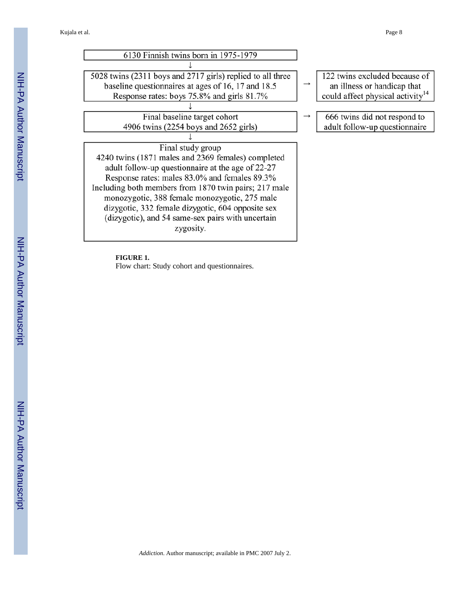Kujala et al. Page 8

| 6130 Finnish twins born in 1975-1979                       |               |                                              |
|------------------------------------------------------------|---------------|----------------------------------------------|
|                                                            |               |                                              |
| 5028 twins (2311 boys and 2717 girls) replied to all three |               | 122 twins excluded because of                |
| baseline questionnaires at ages of 16, 17 and 18.5         | $\rightarrow$ | an illness or handicap that                  |
| Response rates: boys 75.8% and girls 81.7%                 |               | could affect physical activity <sup>14</sup> |
|                                                            |               |                                              |
| Final baseline target cohort                               |               | 666 twins did not respond to                 |
| 4906 twins (2254 boys and 2652 girls)                      |               | adult follow-up questionnaire                |
|                                                            |               |                                              |
| Final study group                                          |               |                                              |
| 4240 twins (1871 males and 2369 females) completed         |               |                                              |
| adult follow-up questionnaire at the age of 22-27          |               |                                              |
| Response rates: males 83.0% and females 89.3%              |               |                                              |
| Including both members from 1870 twin pairs; 217 male      |               |                                              |
| monozygotic, 388 female monozygotic, 275 male              |               |                                              |
| dizygotic, 332 female dizygotic, 604 opposite sex          |               |                                              |
| (dizygotic), and 54 same-sex pairs with uncertain          |               |                                              |
| zygosity.                                                  |               |                                              |
|                                                            |               |                                              |

**FIGURE 1.**

Flow chart: Study cohort and questionnaires.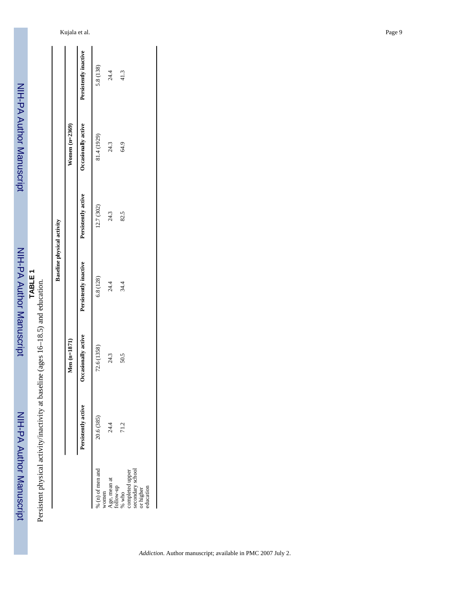NIH-PA Author Manuscript NIH-PA Author Manuscript

 NIH-PA Author ManuscriptNIH-PA Author Manuscript

# Persistent physical activity/inactivity at baseline (ages 16–18.5) and education. Persistent physical activity/inactivity at baseline (ages 16–18.5) and education.

|                                   |                  | Persistently inactive | 5.8 (138)           | 24.4 | 41.3                                                                                                                   |
|-----------------------------------|------------------|-----------------------|---------------------|------|------------------------------------------------------------------------------------------------------------------------|
|                                   | Women $(n=2369)$ | Occasionally active   | 81.4 (1929)         | 24.3 | 64.9                                                                                                                   |
| <b>Baseline physical activity</b> |                  | Persistently active   | 12.7 (302)          | 24.3 | 82.5                                                                                                                   |
|                                   |                  | Persistently inactive | 6.8 (128)           | 24.4 | 34.4                                                                                                                   |
|                                   | $Men(m=1871)$    | Occasionally active   | 72.6 (1358)         | 24.3 | 50.5                                                                                                                   |
|                                   |                  | Persistently active   | 20.6 (385)          | 24.4 | 71.2                                                                                                                   |
|                                   |                  |                       | $\%$ (n) of men and |      | women<br>Age, mean at<br>follow-up<br>% who<br>% who<br>secondary school<br>secondary school<br>or higher<br>or higher |

l.

 $\ddot{\phantom{a}}$ 

 $\ddot{\phantom{a}}$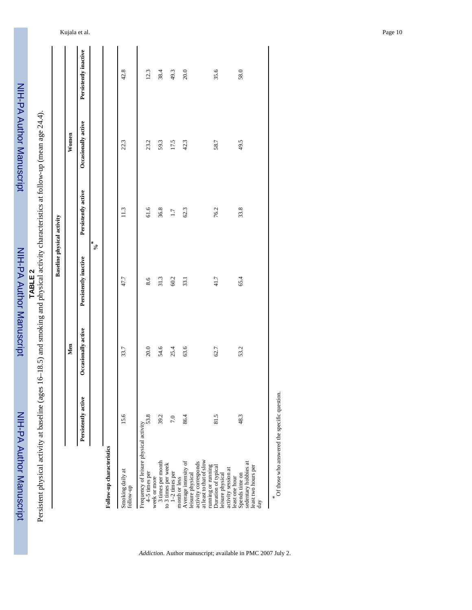| $\ddot{\dotsc}$ |
|-----------------|
|                 |
|                 |
|                 |
|                 |
|                 |
|                 |
|                 |
|                 |
|                 |
|                 |
|                 |
|                 |
|                 |
|                 |
|                 |
| į               |
|                 |
|                 |
|                 |
|                 |
|                 |
|                 |
|                 |
|                 |

**TABLE 2**<br>Persistent physical activity at baseline (ages 16–18.5) and smoking and physical activity characteristics at follow-up (mean age 24.4). Persistent physical activity at baseline (ages 16–18.5) and smoking and physical activity characteristics at follow-up (mean age 24.4).

**Baseline physical activity Men Women**

Men

**Baseline physical activity** 

Women

|                                                                                                                  | Persistently active                          | Occasionally active | Persistently inactive | Persistently active | Occasionally active | Persistently inactive |
|------------------------------------------------------------------------------------------------------------------|----------------------------------------------|---------------------|-----------------------|---------------------|---------------------|-----------------------|
|                                                                                                                  |                                              |                     |                       | $\alpha^*$          |                     |                       |
| Follow-up characteristics                                                                                        |                                              |                     |                       |                     |                     |                       |
| Smoking daily at<br>follow-up                                                                                    | 15.6                                         | 33.7                | 47.7                  | 11.3                | 22.3                | 42.8                  |
| Frequency of leisure physical activity<br>$4-5$ times per<br>week or more                                        | 53.8                                         | 20.0                | 8.6                   | 61.6                | 23.2                | 12.3                  |
| 3 times per month                                                                                                | 39.2                                         | 54.6                | 31.3                  | 36.8                | 59.3                | 38.4                  |
| to 3 times per week<br>$1-2$ times per<br>month or less                                                          | 7.0                                          | 25.4                | 60.2                  | 1.7                 | 17.5                | 49.3                  |
| Average intensity of<br>activity corresponds<br>leisure physical                                                 | 86.4                                         | 63.6                | 33.1                  | 62.3                | 42.3                | 20.0                  |
| at least to that of slow<br>running or running<br>Duration of typical<br>activity session at<br>leisure physical | 81.5                                         | 62.7                | 41.7                  | 76.2                | 58.7                | 35.6                  |
| sedentary hobbies at<br>least two hours per<br>Spends time on<br>least one hour<br>day                           | 48.3                                         | 53.2                | 65.4                  | 33.8                | 49.5                | 58.0                  |
|                                                                                                                  | Of those who answered the specific question. |                     |                       |                     |                     |                       |

Of those who answered the specific question.

*Addiction*. Author manuscript; available in PMC 2007 July 2.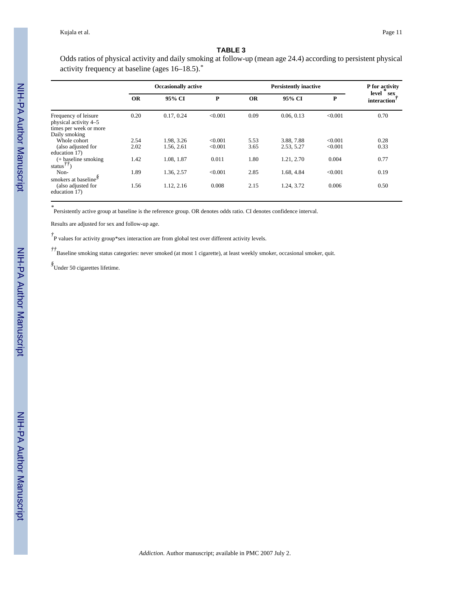### **TABLE 3**

Odds ratios of physical activity and daily smoking at follow-up (mean age 24.4) according to persistent physical activity frequency at baseline (ages 16–18.5).*\**

|                                                                         | <b>Occasionally active</b> |                          |                    |              | P for activity           |                    |                          |
|-------------------------------------------------------------------------|----------------------------|--------------------------|--------------------|--------------|--------------------------|--------------------|--------------------------|
|                                                                         | <b>OR</b>                  | 95% CI                   | P                  | <b>OR</b>    | 95% CI                   | P                  | level sex<br>interaction |
| Frequency of leisure<br>physical activity 4-5<br>times per week or more | 0.20                       | 0.17, 0.24               | < 0.001            | 0.09         | 0.06, 0.13               | < 0.001            | 0.70                     |
| Daily smoking<br>Whole cohort<br>(also adjusted for<br>education 17)    | 2.54<br>2.02               | 1.98, 3.26<br>1.56, 2.61 | < 0.001<br>< 0.001 | 5.53<br>3.65 | 3.88, 7.88<br>2.53, 5.27 | < 0.001<br>< 0.001 | 0.28<br>0.33             |
| $(+$ baseline smoking<br>status $^{77}$                                 | 1.42                       | 1.08.1.87                | 0.011              | 1.80         | 1.21, 2.70               | 0.004              | 0.77                     |
| Non-<br>smokers at baseline <sup>§</sup>                                | 1.89                       | 1.36, 2.57               | < 0.001            | 2.85         | 1.68, 4.84               | < 0.001            | 0.19                     |
| (also adjusted for<br>education 17)                                     | 1.56                       | 1.12, 2.16               | 0.008              | 2.15         | 1.24, 3.72               | 0.006              | 0.50                     |

*\** Persistently active group at baseline is the reference group. OR denotes odds ratio. CI denotes confidence interval.

Results are adjusted for sex and follow-up age.

<sup>†</sup><br>P values for activity group\*sex interaction are from global test over different activity levels.

*††*Baseline smoking status categories: never smoked (at most 1 cigarette), at least weekly smoker, occasional smoker, quit.

*§* Under 50 cigarettes lifetime.